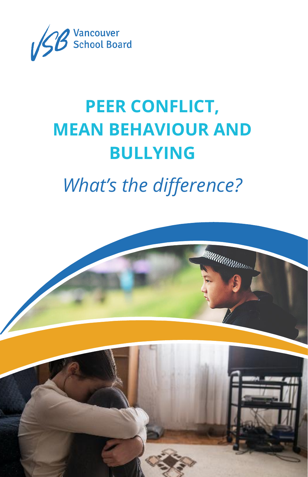

# **PEER CONFLICT, MEAN BEHAVIOUR AND BULLYING**

## *What's the difference?*

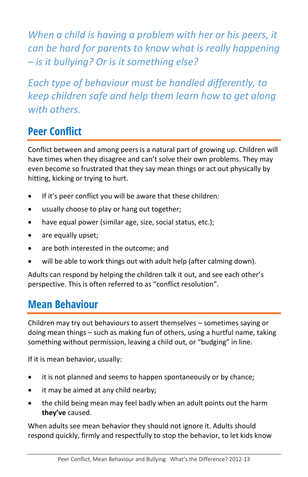*When a child is having a problem with her or his peers, it can be hard for parents to know what is really happening – is it bullying? Or is it something else?* 

*Each type of behaviour must be handled differently, to keep children safe and help them learn how to get along with others.* 

### **Peer Conflict**

Conflict between and among peers is a natural part of growing up. Children will have times when they disagree and can't solve their own problems. They may even become so frustrated that they say mean things or act out physically by hitting, kicking or trying to hurt.

- If it's peer conflict you will be aware that these children:
- usually choose to play or hang out together;
- have equal power (similar age, size, social status, etc.);
- are equally upset;
- are both interested in the outcome; and
- will be able to work things out with adult help (after calming down).

Adults can respond by helping the children talk it out, and see each other's perspective. This is often referred to as "conflict resolution".

#### **Mean Behaviour**

Children may try out behaviours to assert themselves – sometimes saying or doing mean things – such as making fun of others, using a hurtful name, taking something without permission, leaving a child out, or "budging" in line.

If it is mean behavior, usually:

- it is not planned and seems to happen spontaneously or by chance;
- it may be aimed at any child nearby;
- the child being mean may feel badly when an adult points out the harm **they've** caused.

When adults see mean behavior they should not ignore it. Adults should respond quickly, firmly and respectfully to stop the behavior, to let kids know